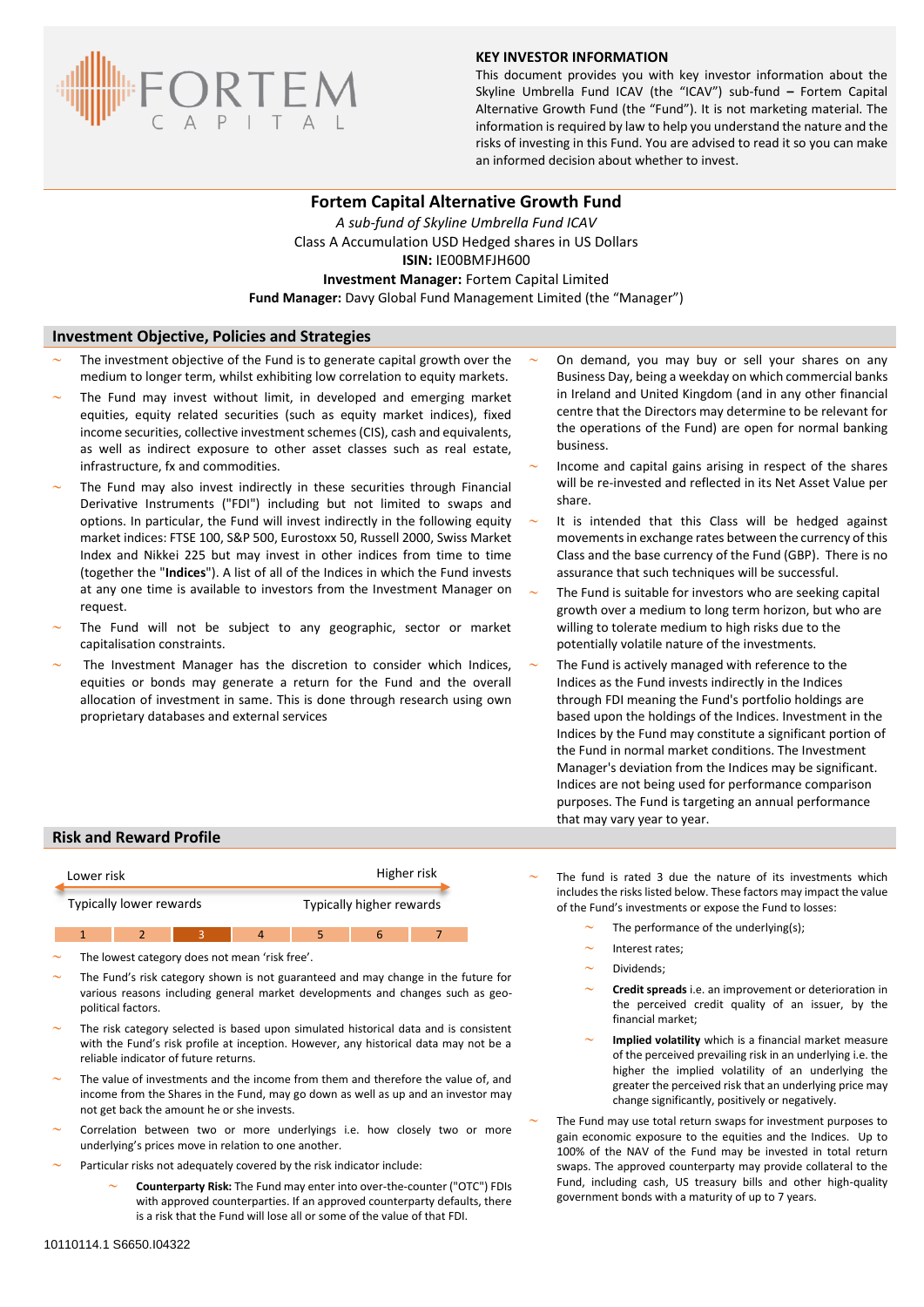

## **KEY INVESTOR INFORMATION**

This document provides you with key investor information about the Skyline Umbrella Fund ICAV (the "ICAV") sub-fund **–** Fortem Capital Alternative Growth Fund (the "Fund"). It is not marketing material. The information is required by law to help you understand the nature and the risks of investing in this Fund. You are advised to read it so you can make an informed decision about whether to invest.

# **Fortem Capital Alternative Growth Fund**

*A sub-fund of Skyline Umbrella Fund ICAV* Class A Accumulation USD Hedged shares in US Dollars **ISIN:** IE00BMFJH600 **Investment Manager:** Fortem Capital Limited **Fund Manager:** Davy Global Fund Management Limited (the "Manager")

## **Investment Objective, Policies and Strategies**

- The investment objective of the Fund is to generate capital growth over the medium to longer term, whilst exhibiting low correlation to equity markets.
- The Fund may invest without limit, in developed and emerging market equities, equity related securities (such as equity market indices), fixed income securities, collective investment schemes (CIS), cash and equivalents, as well as indirect exposure to other asset classes such as real estate, infrastructure, fx and commodities.
- The Fund may also invest indirectly in these securities through Financial Derivative Instruments ("FDI") including but not limited to swaps and options. In particular, the Fund will invest indirectly in the following equity market indices: FTSE 100, S&P 500, Eurostoxx 50, Russell 2000, Swiss Market Index and Nikkei 225 but may invest in other indices from time to time (together the "**Indices**"). A list of all of the Indices in which the Fund invests at any one time is available to investors from the Investment Manager on request.
- The Fund will not be subject to any geographic, sector or market capitalisation constraints.
- The Investment Manager has the discretion to consider which Indices, equities or bonds may generate a return for the Fund and the overall allocation of investment in same. This is done through research using own proprietary databases and external services
- On demand, you may buy or sell your shares on any Business Day, being a weekday on which commercial banks in Ireland and United Kingdom (and in any other financial centre that the Directors may determine to be relevant for the operations of the Fund) are open for normal banking business.
- Income and capital gains arising in respect of the shares will be re-invested and reflected in its Net Asset Value per share.
- It is intended that this Class will be hedged against movements in exchange rates between the currency of this Class and the base currency of the Fund (GBP). There is no assurance that such techniques will be successful.
- The Fund is suitable for investors who are seeking capital growth over a medium to long term horizon, but who are willing to tolerate medium to high risks due to the potentially volatile nature of the investments.
- The Fund is actively managed with reference to the Indices as the Fund invests indirectly in the Indices through FDI meaning the Fund's portfolio holdings are based upon the holdings of the Indices. Investment in the Indices by the Fund may constitute a significant portion of the Fund in normal market conditions. The Investment Manager's deviation from the Indices may be significant. Indices are not being used for performance comparison purposes. The Fund is targeting an annual performance that may vary year to year.

### **Risk and Reward Profile**



The lowest category does not mean 'risk free'.

- The Fund's risk category shown is not guaranteed and may change in the future for various reasons including general market developments and changes such as geopolitical factors.
- The risk category selected is based upon simulated historical data and is consistent with the Fund's risk profile at inception. However, any historical data may not be a reliable indicator of future returns.
- The value of investments and the income from them and therefore the value of, and income from the Shares in the Fund, may go down as well as up and an investor may not get back the amount he or she invests.
- Correlation between two or more underlyings i.e. how closely two or more underlying's prices move in relation to one another.
- Particular risks not adequately covered by the risk indicator include:
	- **Counterparty Risk:** The Fund may enter into over-the-counter ("OTC") FDIs with approved counterparties. If an approved counterparty defaults, there is a risk that the Fund will lose all or some of the value of that FDI.
- The fund is rated 3 due the nature of its investments which includes the risks listed below. These factors may impact the value of the Fund's investments or expose the Fund to losses:
	- The performance of the underlying(s);
	- Interest rates;
	- Dividends;
	- **Credit spreads** i.e. an improvement or deterioration in the perceived credit quality of an issuer, by the financial market;
	- **Implied volatility** which is a financial market measure of the perceived prevailing risk in an underlying i.e. the higher the implied volatility of an underlying the greater the perceived risk that an underlying price may change significantly, positively or negatively.

 The Fund may use total return swaps for investment purposes to gain economic exposure to the equities and the Indices. Up to 100% of the NAV of the Fund may be invested in total return swaps. The approved counterparty may provide collateral to the Fund, including cash, US treasury bills and other high-quality government bonds with a maturity of up to 7 years.